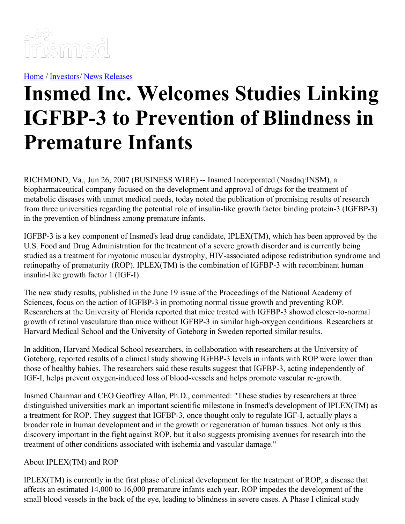

[Home](https://insmed.com/) / [Investors](https://investor.insmed.com/index)/ News [Releases](https://investor.insmed.com/releases)

## **Insmed Inc. Welcomes Studies Linking IGFBP-3 to Prevention of Blindness in Premature Infants**

RICHMOND, Va., Jun 26, 2007 (BUSINESS WIRE) -- Insmed Incorporated (Nasdaq:INSM), a biopharmaceutical company focused on the development and approval of drugs for the treatment of metabolic diseases with unmet medical needs, today noted the publication of promising results of research from three universities regarding the potential role of insulin-like growth factor binding protein-3 (IGFBP-3) in the prevention of blindness among premature infants.

IGFBP-3 is a key component of Insmed's lead drug candidate, IPLEX(TM), which has been approved by the U.S. Food and Drug Administration for the treatment of a severe growth disorder and is currently being studied as a treatment for myotonic muscular dystrophy, HIV-associated adipose redistribution syndrome and retinopathy of prematurity (ROP). IPLEX(TM) is the combination of IGFBP-3 with recombinant human insulin-like growth factor 1 (IGF-I).

The new study results, published in the June 19 issue of the Proceedings of the National Academy of Sciences, focus on the action of IGFBP-3 in promoting normal tissue growth and preventing ROP. Researchers at the University of Florida reported that mice treated with IGFBP-3 showed closer-to-normal growth of retinal vasculature than mice without IGFBP-3 in similar high-oxygen conditions. Researchers at Harvard Medical School and the University of Goteborg in Sweden reported similar results.

In addition, Harvard Medical School researchers, in collaboration with researchers at the University of Goteborg, reported results of a clinical study showing IGFBP-3 levels in infants with ROP were lower than those of healthy babies. The researchers said these results suggest that IGFBP-3, acting independently of IGF-I, helps prevent oxygen-induced loss of blood-vessels and helps promote vascular re-growth.

Insmed Chairman and CEO Geoffrey Allan, Ph.D., commented: "These studies by researchers at three distinguished universities mark an important scientific milestone in Insmed's development of IPLEX(TM) as a treatment for ROP. They suggest that IGFBP-3, once thought only to regulate IGF-I, actually plays a broader role in human development and in the growth or regeneration of human tissues. Not only is this discovery important in the fight against ROP, but it also suggests promising avenues for research into the treatment of other conditions associated with ischemia and vascular damage."

## About IPLEX(TM) and ROP

IPLEX(TM) is currently in the first phase of clinical development for the treatment of ROP, a disease that affects an estimated 14,000 to 16,000 premature infants each year. ROP impedes the development of the small blood vessels in the back of the eye, leading to blindness in severe cases. A Phase I clinical study